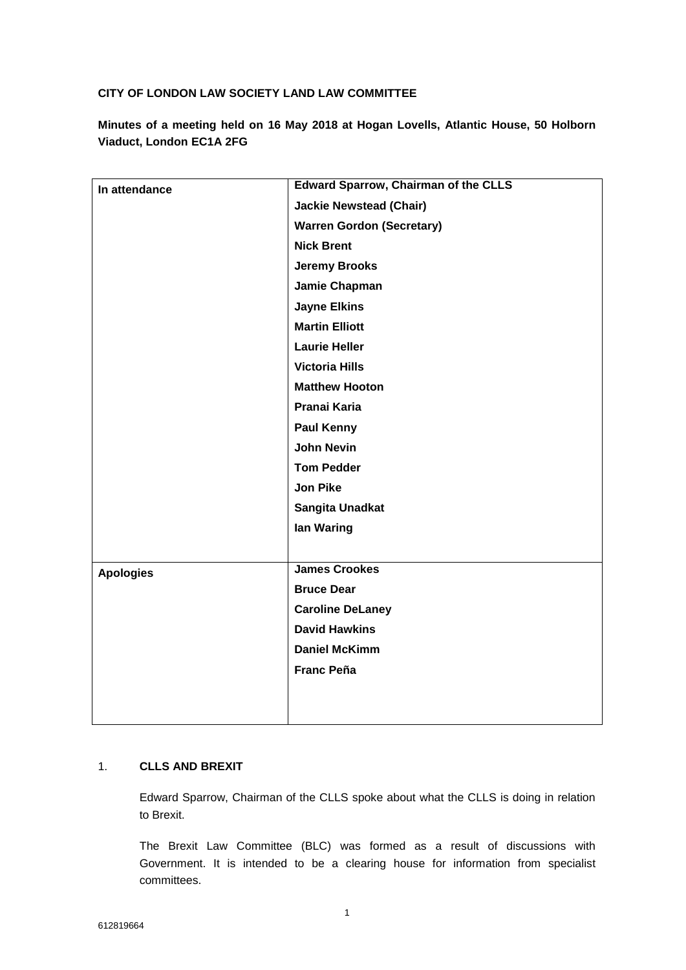# **CITY OF LONDON LAW SOCIETY LAND LAW COMMITTEE**

**Minutes of a meeting held on 16 May 2018 at Hogan Lovells, Atlantic House, 50 Holborn Viaduct, London EC1A 2FG**

| In attendance    | <b>Edward Sparrow, Chairman of the CLLS</b> |
|------------------|---------------------------------------------|
|                  | <b>Jackie Newstead (Chair)</b>              |
|                  | <b>Warren Gordon (Secretary)</b>            |
|                  | <b>Nick Brent</b>                           |
|                  | <b>Jeremy Brooks</b>                        |
|                  | Jamie Chapman                               |
|                  | <b>Jayne Elkins</b>                         |
|                  | <b>Martin Elliott</b>                       |
|                  | <b>Laurie Heller</b>                        |
|                  | <b>Victoria Hills</b>                       |
|                  | <b>Matthew Hooton</b>                       |
|                  | Pranai Karia                                |
|                  | <b>Paul Kenny</b>                           |
|                  | <b>John Nevin</b>                           |
|                  | <b>Tom Pedder</b>                           |
|                  | <b>Jon Pike</b>                             |
|                  | Sangita Unadkat                             |
|                  | lan Waring                                  |
|                  |                                             |
| <b>Apologies</b> | <b>James Crookes</b>                        |
|                  | <b>Bruce Dear</b>                           |
|                  | <b>Caroline DeLaney</b>                     |
|                  | <b>David Hawkins</b>                        |
|                  | <b>Daniel McKimm</b>                        |
|                  | <b>Franc Peña</b>                           |
|                  |                                             |
|                  |                                             |
|                  |                                             |

# 1. **CLLS AND BREXIT**

Edward Sparrow, Chairman of the CLLS spoke about what the CLLS is doing in relation to Brexit.

The Brexit Law Committee (BLC) was formed as a result of discussions with Government. It is intended to be a clearing house for information from specialist committees.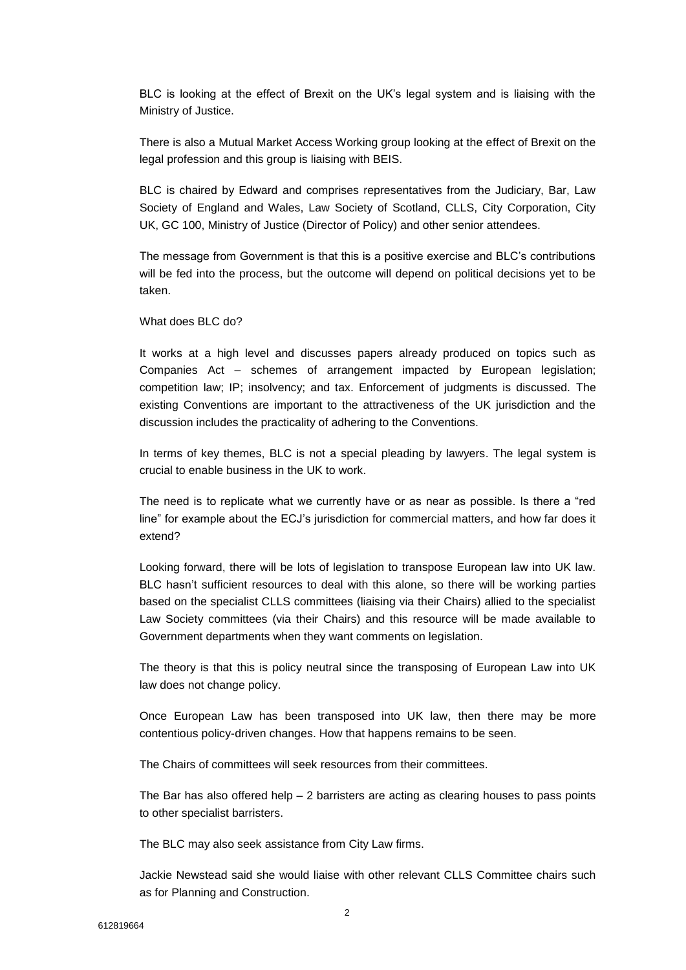BLC is looking at the effect of Brexit on the UK's legal system and is liaising with the Ministry of Justice.

There is also a Mutual Market Access Working group looking at the effect of Brexit on the legal profession and this group is liaising with BEIS.

BLC is chaired by Edward and comprises representatives from the Judiciary, Bar, Law Society of England and Wales, Law Society of Scotland, CLLS, City Corporation, City UK, GC 100, Ministry of Justice (Director of Policy) and other senior attendees.

The message from Government is that this is a positive exercise and BLC's contributions will be fed into the process, but the outcome will depend on political decisions yet to be taken.

What does BLC do?

It works at a high level and discusses papers already produced on topics such as Companies Act – schemes of arrangement impacted by European legislation; competition law; IP; insolvency; and tax. Enforcement of judgments is discussed. The existing Conventions are important to the attractiveness of the UK jurisdiction and the discussion includes the practicality of adhering to the Conventions.

In terms of key themes, BLC is not a special pleading by lawyers. The legal system is crucial to enable business in the UK to work.

The need is to replicate what we currently have or as near as possible. Is there a "red line" for example about the ECJ's jurisdiction for commercial matters, and how far does it extend?

Looking forward, there will be lots of legislation to transpose European law into UK law. BLC hasn't sufficient resources to deal with this alone, so there will be working parties based on the specialist CLLS committees (liaising via their Chairs) allied to the specialist Law Society committees (via their Chairs) and this resource will be made available to Government departments when they want comments on legislation.

The theory is that this is policy neutral since the transposing of European Law into UK law does not change policy.

Once European Law has been transposed into UK law, then there may be more contentious policy-driven changes. How that happens remains to be seen.

The Chairs of committees will seek resources from their committees.

The Bar has also offered help  $-2$  barristers are acting as clearing houses to pass points to other specialist barristers.

The BLC may also seek assistance from City Law firms.

Jackie Newstead said she would liaise with other relevant CLLS Committee chairs such as for Planning and Construction.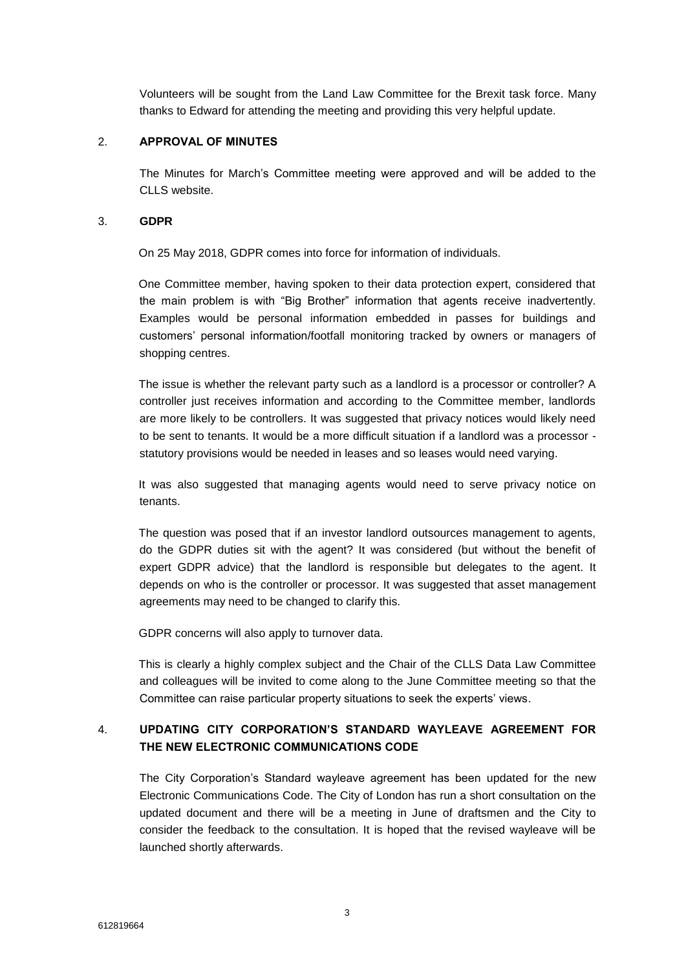Volunteers will be sought from the Land Law Committee for the Brexit task force. Many thanks to Edward for attending the meeting and providing this very helpful update.

### 2. **APPROVAL OF MINUTES**

The Minutes for March's Committee meeting were approved and will be added to the CLLS website.

### 3. **GDPR**

On 25 May 2018, GDPR comes into force for information of individuals.

One Committee member, having spoken to their data protection expert, considered that the main problem is with "Big Brother" information that agents receive inadvertently. Examples would be personal information embedded in passes for buildings and customers' personal information/footfall monitoring tracked by owners or managers of shopping centres.

The issue is whether the relevant party such as a landlord is a processor or controller? A controller just receives information and according to the Committee member, landlords are more likely to be controllers. It was suggested that privacy notices would likely need to be sent to tenants. It would be a more difficult situation if a landlord was a processor statutory provisions would be needed in leases and so leases would need varying.

It was also suggested that managing agents would need to serve privacy notice on tenants.

The question was posed that if an investor landlord outsources management to agents, do the GDPR duties sit with the agent? It was considered (but without the benefit of expert GDPR advice) that the landlord is responsible but delegates to the agent. It depends on who is the controller or processor. It was suggested that asset management agreements may need to be changed to clarify this.

GDPR concerns will also apply to turnover data.

This is clearly a highly complex subject and the Chair of the CLLS Data Law Committee and colleagues will be invited to come along to the June Committee meeting so that the Committee can raise particular property situations to seek the experts' views.

# 4. **UPDATING CITY CORPORATION'S STANDARD WAYLEAVE AGREEMENT FOR THE NEW ELECTRONIC COMMUNICATIONS CODE**

The City Corporation's Standard wayleave agreement has been updated for the new Electronic Communications Code. The City of London has run a short consultation on the updated document and there will be a meeting in June of draftsmen and the City to consider the feedback to the consultation. It is hoped that the revised wayleave will be launched shortly afterwards.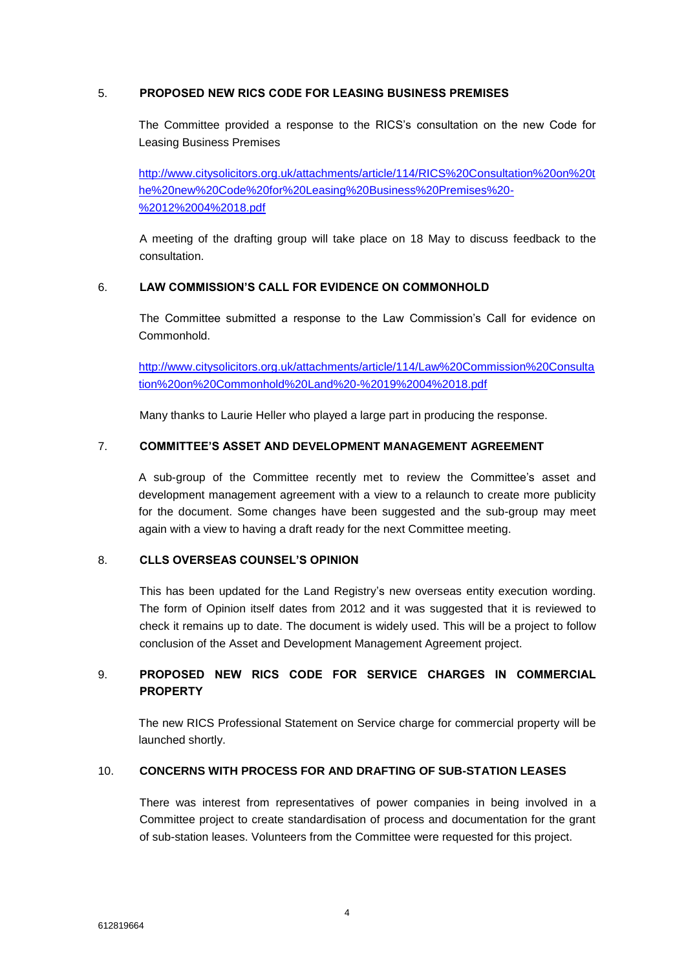# 5. **PROPOSED NEW RICS CODE FOR LEASING BUSINESS PREMISES**

The Committee provided a response to the RICS's consultation on the new Code for Leasing Business Premises

[http://www.citysolicitors.org.uk/attachments/article/114/RICS%20Consultation%20on%20t](http://www.citysolicitors.org.uk/attachments/article/114/RICS%20Consultation%20on%20the%20new%20Code%20for%20Leasing%20Business%20Premises%20-%2012%2004%2018.pdf) [he%20new%20Code%20for%20Leasing%20Business%20Premises%20-](http://www.citysolicitors.org.uk/attachments/article/114/RICS%20Consultation%20on%20the%20new%20Code%20for%20Leasing%20Business%20Premises%20-%2012%2004%2018.pdf) [%2012%2004%2018.pdf](http://www.citysolicitors.org.uk/attachments/article/114/RICS%20Consultation%20on%20the%20new%20Code%20for%20Leasing%20Business%20Premises%20-%2012%2004%2018.pdf)

A meeting of the drafting group will take place on 18 May to discuss feedback to the consultation.

# 6. **LAW COMMISSION'S CALL FOR EVIDENCE ON COMMONHOLD**

The Committee submitted a response to the Law Commission's Call for evidence on Commonhold.

[http://www.citysolicitors.org.uk/attachments/article/114/Law%20Commission%20Consulta](http://www.citysolicitors.org.uk/attachments/article/114/Law%20Commission%20Consultation%20on%20Commonhold%20Land%20-%2019%2004%2018.pdf) [tion%20on%20Commonhold%20Land%20-%2019%2004%2018.pdf](http://www.citysolicitors.org.uk/attachments/article/114/Law%20Commission%20Consultation%20on%20Commonhold%20Land%20-%2019%2004%2018.pdf)

Many thanks to Laurie Heller who played a large part in producing the response.

#### 7. **COMMITTEE'S ASSET AND DEVELOPMENT MANAGEMENT AGREEMENT**

A sub-group of the Committee recently met to review the Committee's asset and development management agreement with a view to a relaunch to create more publicity for the document. Some changes have been suggested and the sub-group may meet again with a view to having a draft ready for the next Committee meeting.

### 8. **CLLS OVERSEAS COUNSEL'S OPINION**

This has been updated for the Land Registry's new overseas entity execution wording. The form of Opinion itself dates from 2012 and it was suggested that it is reviewed to check it remains up to date. The document is widely used. This will be a project to follow conclusion of the Asset and Development Management Agreement project.

# 9. **PROPOSED NEW RICS CODE FOR SERVICE CHARGES IN COMMERCIAL PROPERTY**

The new RICS Professional Statement on Service charge for commercial property will be launched shortly.

# 10. **CONCERNS WITH PROCESS FOR AND DRAFTING OF SUB-STATION LEASES**

There was interest from representatives of power companies in being involved in a Committee project to create standardisation of process and documentation for the grant of sub-station leases. Volunteers from the Committee were requested for this project.